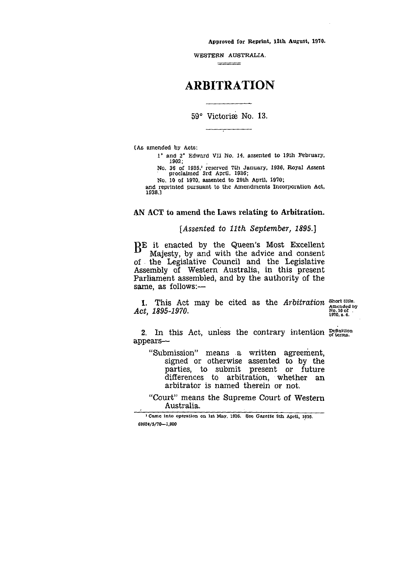Approved for Reprint, 13th August, 1970.

WESTERN AUSTRALIA.  $\frac{1}{2}$ 

# ARBITRATION

59° Victoriae No. 13.

(As amended by Acts:

1° and 2° Edward VII No. 14, assented to 19th February, 1902;

No. 36 of 1936; reserved 7th January, 1936, Royal Assent proclaimed 3rd April, 1936;

No. 10 of 1970, assented to 29th April, 1970;

and reprinted pursuant to the Amendments Incorporation Act, 1938.3

# AN ACT to amend the Laws relating to Arbitration.

# *[Assented* to *11th September, 1895.]*

B<sup>E</sup> it enacted by the Queen's Most Excellent<br>Maiesty, by and with the advice and consent Majesty, by and with the advice and consent of the Legislative Council and the Legislative Assembly of Western Australia, in this present Parliament assembled, and by the authority of the same, as follows:-

1. This Act may be cited as the *Arbitration Short title.* Act, 1895-1970.

*Amended by* 1970, в. 4.

2. In this Act, unless the contrary intention  $_{\text{or terms.}}^{\text{Definition}}$ appears

"Submission" means a written agreement, signed or otherwise assented to by the parties, to submit present or future differences to arbitration, whether an arbitrator *is* named therein or not.

"Court" means the Supreme Court of Western Australia.

I Came into operation on 1st May, 1936. See Gazette 9th April, 1936. 69924/5/70-1,900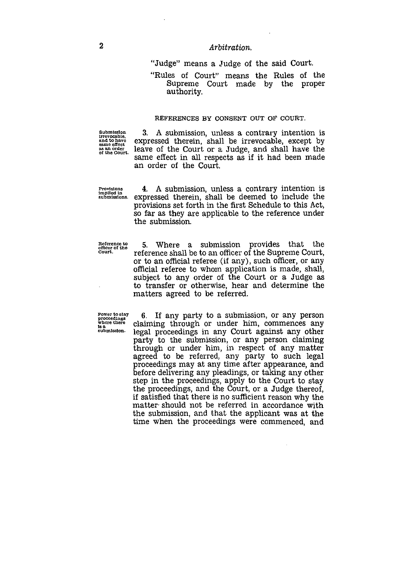## *Arbitration.*

"Judge" means a Judge of the said Court.

"Rules of Court" means the Rules of the Supreme Court made by the proper authority.

### REFERENCES BY CONSENT OUT OF COURT.

**Submission irrevocable. and to have same effect** *as* **an order of the Court.**

3. A submission, unless a contrary intention is expressed therein, shall be irrevocable, except by leave of the Court or a Judge, and shall have the same effect in all respects as if it had been made an order of the Court. **Submission**<br> **Provisions**<br> **Exame of the Court of the Court of a Judge**, and shall have the<br> **Provisions**<br> **Provisions**<br> **Provisions**<br> **Provisions**<br> **Provisions**<br> **Provisions**<br> **Provisions**<br> **Provisions**<br> **Provisions**<br> **P** 

**implied In**

**submissions.** expressed therein, shall be deemed to include the provisions set forth in the first Schedule to this Act, so far as they are applicable to the reference under the submission.

**Reference to officer of the Court.**

5. Where a submission provides that the reference shall be to an officer of the Supreme Court, or to an official referee (if any), such officer, or any official referee to whom application is made, shall, subject to any order of the Court or a Judge *as* to transfer or otherwise, hear and determine the matters agreed to be referred.

**Power to stay proceedings where there Is a submission.**

6. If any party to a submission, or any person claiming through or under him, commences any legal proceedings in any Court against any other party to the submission, or any person claiming through or under him, in respect of any matter agreed to be referred, any party to such legal proceedings may at any time after appearance, and before delivering any pleadings, or taking any other step in the proceedings, apply to the Court to stay the proceedings, and the Court, or a Judge thereof, if satisfied that there is no sufficient reason why the matter should not be referred in accordance with the submission, and that the applicant was at the time when the proceedings were commenced, and

2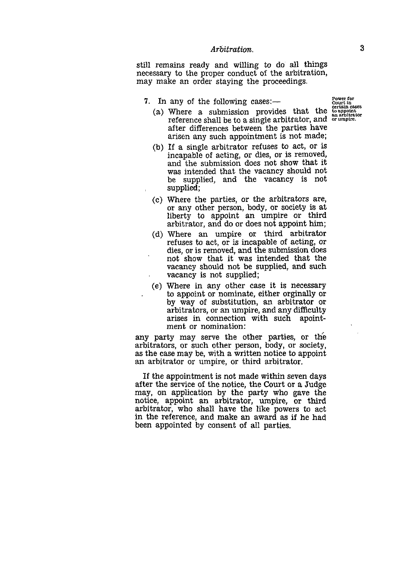*Arbitration.*<br>
and willing<br>
pper conduct<br>
intering the still remains ready and willing to do all things necessary to the proper conduct of the arbitration, may make an order staying the proceedings.

- 7. In any of the following cases:
- any of the following cases: Fower for<br>
Where a submission provides that the conpoint<br>
reference shall be to a single arbitrator, and or umpire. (a) Where a submission provides that the after differences between the parties have arisen any such appointment is not made;
	- (b) If a single arbitrator refuses to act, or is incapable of acting, or dies, or is removed, and the submission does not show that it was intended that the vacancy should not be supplied, and the vacancy is not supplied;
	- Where the parties, or the arbitrators are, (0)or any other person, body, or society is at liberty to appoint an umpire or third arbitrator, and do or does not appoint him;
	- (d) Where an umpire or third arbitrator refuses to act, or *is* incapable of acting, or dies, or is removed, and the submission does not show that it was intended that the vacancy should not be supplied, and such vacancy is not supplied;
	- (e) Where in any other case it is necessary to appoint or nominate, either orginally or by way of substitution, an arbitrator or arbitrators, or an umpire, and any difficulty arises in connection with such apointment or nomination:

any party may serve the other parties, or the arbitrators, or such other person, body, or society, *as* the case may be, with a written notice to appoint an arbitrator or umpire, or third arbitrator.

If the appointment is not made within seven days after the service of the notice, the Court or a Judge may, on application by the party who gave the notice, appoint an arbitrator, umpire, or third arbitrator, who shall have the like powers to act in the reference, and make an award as if he had been appointed by consent of all parties.

3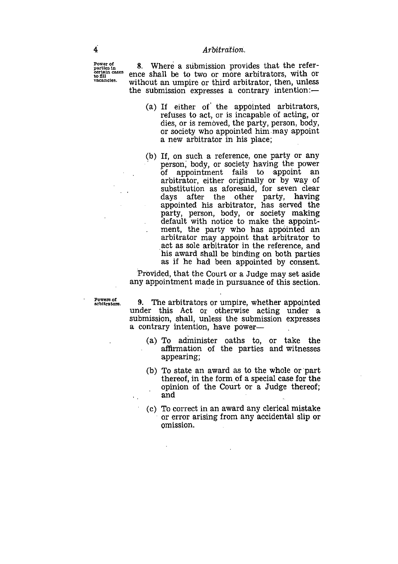**Power of parties in certain cases to fill vacancies.**

8. Where a submission provides that the reference shall be to two or more arbitrators, with or without an umpire or third arbitrator, then, unless the submission expresses a contrary intention:

- (a) If either of the appointed arbitrators, refuses to act, or is incapable of acting, or dies, or is removed, the party, person, body, or society who appointed him may appoint a new arbitrator in his place;
- (b) If, on such a reference, one party or any person; body, or society having the power of appointment fails to appoint an arbitrator, either originally or by way of substitution as aforesaid, for seven clear days after the other party, having appointed his arbitrator, has served the party, person, body, or society making default with notice to make the appointment, the party who has appointed an arbitrator may appoint that arbitrator to act as sole arbitrator in the reference, and his award shall be binding on both parties as if he had been appointed by consent.

Provided, that the Court or a Judge may set aside any appointment made in pursuance of this section.

**Powers of arbitrators.**

 $\mathcal{L}_{\rm{max}}$ 

9. The arbitrators or umpire, whether appointed under this Act or otherwise acting under a submission, shall, unless the submission expresses a contrary intention, have power

- (a) To administer oaths to, or take the affirmation of the parties and witnesses appearing;
- (b) To state an award as to the whole or part thereof, in the form of a special case for the opinion of the Court or a Judge thereof; and
- (c) To correct in an award any clerical mistake or error arising from any accidental slip or omission.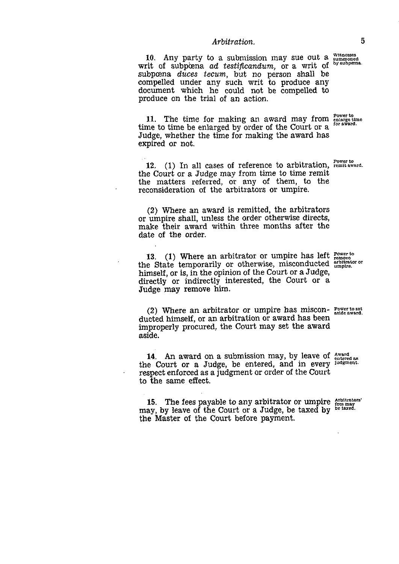# *Arbitration.* <sup>5</sup>

10. Any party to a submission may sue out a writ of subpoena ad testificandum, or a writ of subpcena *duces tecum,* but no person shall be compelled under any such writ to produce any document which he could not be compelled to produce on the trial of an action. witnesses summoned

11. The time for making an award may from  $\frac{Power}{cluster}$  the time he oploged by order of the Court or a  $\frac{for\ x = 1}{for\ x = 1}$ time to time be enlarged by order of the Court or a Judge, whether the time for making the award has expired or not.

12. (1) In all cases of reference to arbitration, remit award. the Court or a Judge may from time to time remit the matters referred, or any of them, to the reconsideration of the arbitrators or umpire.

(2) Where an award is remitted, the arbitrators or umpire shall, unless the order otherwise directs, make their award within three months after the date of the order.

13. (1) Where an arbitrator or umpire has left *Power* to 13. (1) where an arbitrator or umpire has left  $\frac{1}{\text{remove}}$ .<br>the State temporarily or otherwise, misconducted  $\frac{1}{\text{unbyte}}$ . himself, or is, in the opinion of the Court or a Judge, directly or indirectly interested, the Court or a Judge may remove him.

(2) Where an arbitrator or umpire has miscon-  $_{\text{astde}}^{\text{Power to set}}$ ducted himself, or an arbitration or award has been improperly procured, the Court may set the award aside.

14. An award on a submission may, by leave of  $\frac{Award}{entered}$  as the Court or a Judge, be entered, and in every judgment. respect enforced as a judgment or order of the Court to the same effect.

15. The fees payable to any arbitrator or umpire  $\frac{\text{Arbitrators}}{\text{fers may}}$ may, by leave of the Court or a Judge, be taxed by be taxed. the Master of the Court before payment.

by subpœns.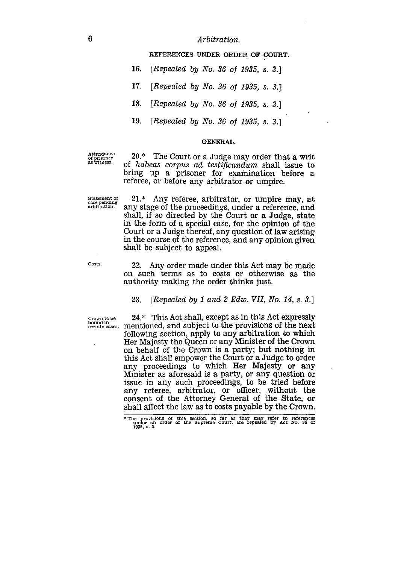*Arbitration.*

REFERENCES UNDER ORDER OF COURT.

- *16. [Repealed* by *No. 36 of 1935, s. 3.]*
- *17. [Repealed* by *No. 36 of 1935, s. 3.]*

*18. [Repealed by No. 36 of 1935, s. 3.]*

*19. [Repealed by No. 36 of 1935, s.* 3.]

### GENERAL.

Attendance of prisoner as witness.

20.\* The Court or a Judge may order that a writ of *habeas corpus ad testificandum* shall issue to bring up a prisoner for examination before a referee, or before any arbitrator or umpire.

Statement of case pending arbitration.

21.\* Any referee, arbitrator, or umpire may, at any stage of the proceedings, under a reference, and shall, if so directed by the Court or a Judge, state in the form of a special case, for the opinion of the Court or a Judge thereof, any question of law arising in the course of the reference, and any opinion given shall be subject to appeal.

Costs.

22. Any order made under this Act may be made on such terms as to costs or otherwise as the authority making the order thinks just.

# 23. *[Repealed by 1 and 2 Edw. VII, No. 14, s. 3.]*

Court or a Judge thereof, any question of law arising<br>in the course of the reference, and any opinion given<br>shall be subject to appeal.<br>Costs.<br>22. Any order made under this Act may be made<br>on such terms as to costs or oth  $\begin{array}{ll}\n\text{Crown to be} & 24.* & \text{This Act shall, except as in this Act expressly central masses.} \\
\text{bound in} & \text{certain cases.}\n\end{array}$ following section, apply to any arbitration to which Her Majesty the Queen or any Minister of the Crown on behalf of the Crown is a party; but nothing in this Act shall empower the Court or a Judge to order any proceedings to which Her Majesty or any Minister as aforesaid is a party, or any question or issue in any such proceedings, to be tried before any referee, arbitrator, or officer, without the consent of the Attorney General of the State, or shall affect the law as to costs payable by the Crown.

<sup>•</sup> The provisions of this section, so far as they may refer to references under an order of the Supreme Court, are repealed by Act No. 36 of 1935, s. 3.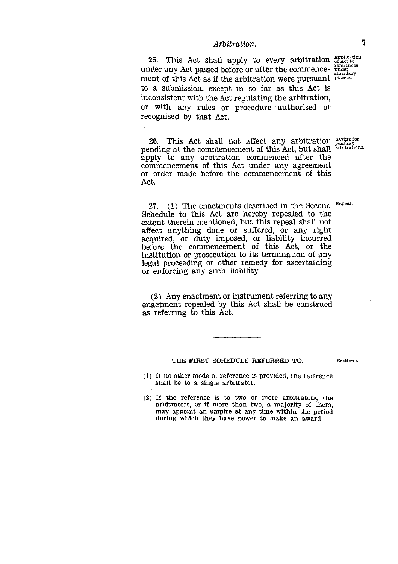*Arbitration.* 7<br>
all apply to every arbitration of act to<br>
d before or after the commence-<br>
if the exhibition were purely and the statutory 25. This Act shall apply to every arbitration  $_{\alpha}^{\text{application}}$ under any Act passed before or after the commence- under ment of this Act as if the arbitration were pursuant powers. to a submission, except in so far as this Act is inconsistent with the Act regulating the arbitration, or with any rules or procedure authorised or recognised by that Act.

26. This Act shall not affect any arbitration Saving for pending at the commencement of this Act, but shall arbitrations. apply to any arbitration commenced after the commencement of this Act under any agreement or order made before the commencement of this Act.

27.  $(1)$  The enactments described in the Second Repeal. Schedule to this Act are hereby repealed to the extent therein mentioned, but this repeal shall not affect anything done or suffered, or any right acquired, or duty imposed, or liability incurred before the commencement of this Act, or the institution or prosecution to its termination of any legal proceeding or other remedy for ascertaining or enforcing any such liability.

(2) Any enactment or instrument referring to any enactment repealed by this Act shall be construed as referring to this Act.

### THE FIRST SCHEDULE REFERRED TO.

Section 4.

- (1) If no other mode of reference is provided, the reference shall be to a single arbitrator.
- (2) If the reference is to two or more arbitrators, the arbitrators, or if more than two, a majority of them, may appoint an umpire at any time within the period during which they have power to make an award.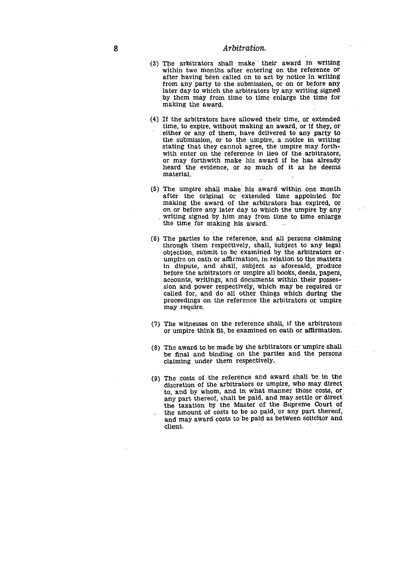- 8<br>
8<br>
(3) The arbitrators shall make the<br>
within two months after entering<br>
after having been called on to a (3) The arbitrators shall make ' their award in writing within two months after entering on the reference or after having been called on to act by notice in writing from any party to the submission, or on or before any later day to which the arbitrators by any writing signed by them may from time to time enlarge the time for making the award.
	- (4) If the arbitrators have allowed their time, or extended time, to expire, without making an award, or If they, or either or any of them, have delivered to any party to the submission, or to the umpire, a notice in writing stating that they cannot agree, the umpire may forthwith enter on the reference in lieu of the arbitrators, or may forthwith make his award if he has already heard the evidence, or so much of it *as* he deems material.
	- (5) The umpire shall make his award within one month after the original or extended time appointed for making the award of the arbitrators has expired, or on or before any later day to which the umpire by any writing signed by him may from time to time enlarge the time for making his award.
	- (6) The parties to the reference, and all persons claiming through them respectively, shall, subject to any legal objection, submit to be examined by the arbitrators or , umpire on oath or affirmation, in relation to the matters in dispute, and shall, subject as aforesaid, produce before the arbitrators or umpire all books, deeds, papers, accounts, writings, and documents within their possession and power respectively, which may be required or called for, and do all other things which during the proceedings on the reference the arbitrators or umpire may require.
	- (7) The witnesses on the reference shall, if the arbitrators or umpire think fit, be examined on oath or affirmation.
	- (8) The award to be made by the arbitrators or umpire shall be final and binding on the parties and the persons claiming under them respectively.
	- (9) The costs of the reference and award shall be in the discretion of the arbitrators or umpire; who may direct to, and by whom, and in what manner those costs, or any part thereof, shall be paid, and may settle or direct' the taxation by the Master of the Supreme Court of the amount of costs to be so paid, or any part thereof, and may award costs to be paid *as* between solicitor and client.